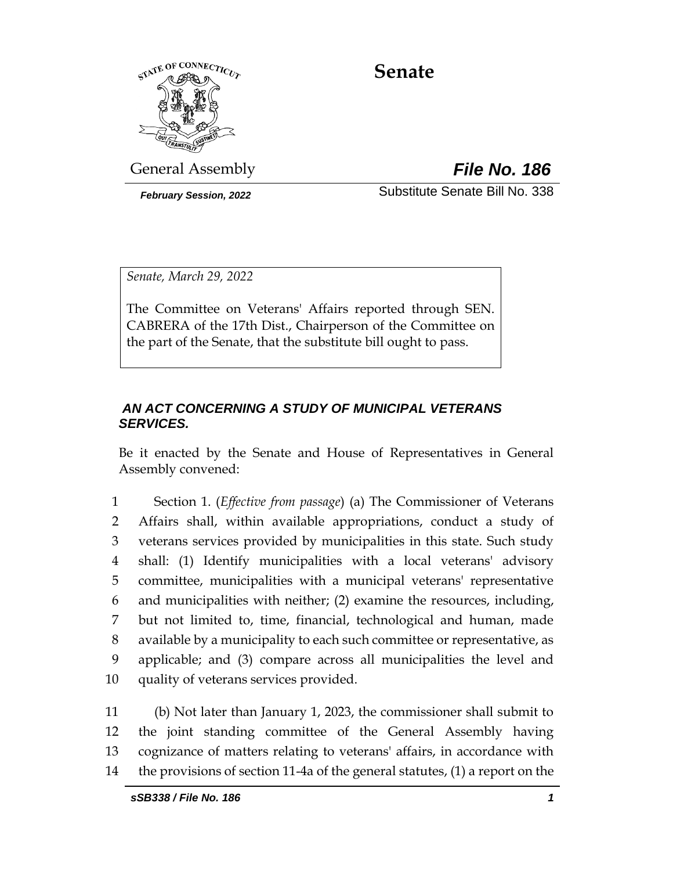

# **Senate**

General Assembly *File No. 186*

*February Session, 2022* Substitute Senate Bill No. 338

*Senate, March 29, 2022*

The Committee on Veterans' Affairs reported through SEN. CABRERA of the 17th Dist., Chairperson of the Committee on the part of the Senate, that the substitute bill ought to pass.

## *AN ACT CONCERNING A STUDY OF MUNICIPAL VETERANS SERVICES.*

Be it enacted by the Senate and House of Representatives in General Assembly convened:

 Section 1. (*Effective from passage*) (a) The Commissioner of Veterans Affairs shall, within available appropriations, conduct a study of veterans services provided by municipalities in this state. Such study shall: (1) Identify municipalities with a local veterans' advisory committee, municipalities with a municipal veterans' representative and municipalities with neither; (2) examine the resources, including, but not limited to, time, financial, technological and human, made available by a municipality to each such committee or representative, as applicable; and (3) compare across all municipalities the level and quality of veterans services provided.

 (b) Not later than January 1, 2023, the commissioner shall submit to the joint standing committee of the General Assembly having cognizance of matters relating to veterans' affairs, in accordance with the provisions of section 11-4a of the general statutes, (1) a report on the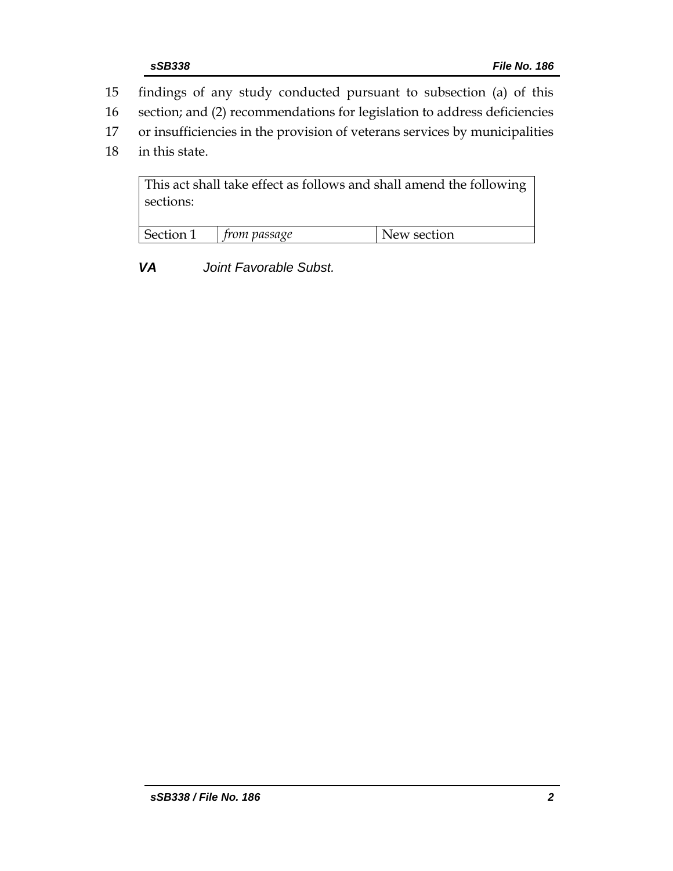- 15 findings of any study conducted pursuant to subsection (a) of this
- 16 section; and (2) recommendations for legislation to address deficiencies
- 17 or insufficiencies in the provision of veterans services by municipalities
- 18 in this state.

This act shall take effect as follows and shall amend the following sections:

| Section 1 | rom passage | New section |
|-----------|-------------|-------------|
|           |             |             |

*VA Joint Favorable Subst.*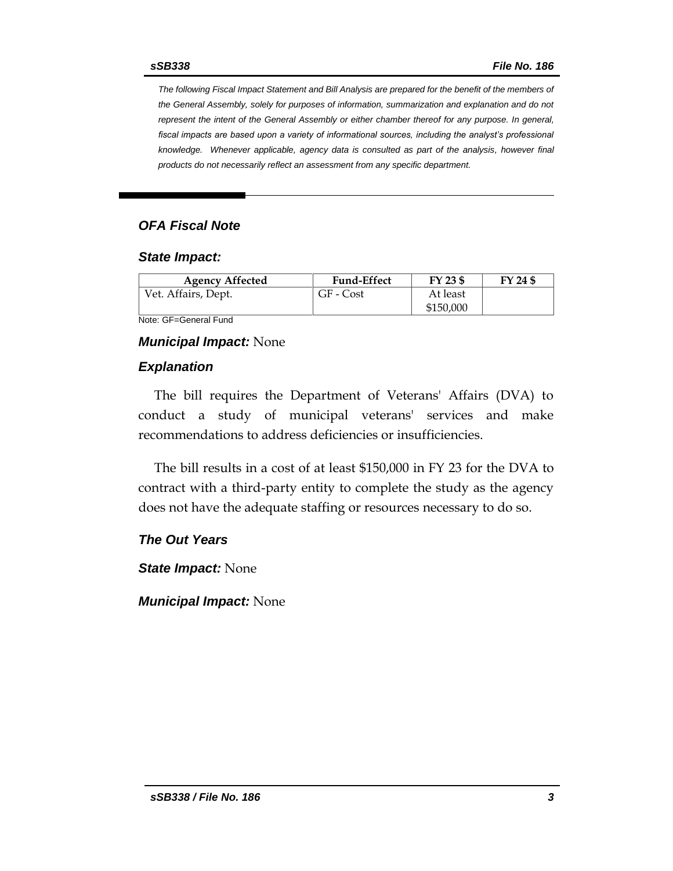*The following Fiscal Impact Statement and Bill Analysis are prepared for the benefit of the members of the General Assembly, solely for purposes of information, summarization and explanation and do not represent the intent of the General Assembly or either chamber thereof for any purpose. In general,*  fiscal impacts are based upon a variety of informational sources, including the analyst's professional *knowledge. Whenever applicable, agency data is consulted as part of the analysis, however final products do not necessarily reflect an assessment from any specific department.*

#### *OFA Fiscal Note*

#### *State Impact:*

| <b>Agency Affected</b> | <b>Fund-Effect</b> | FY 23 \$  | FY 24 \$ |
|------------------------|--------------------|-----------|----------|
| Vet. Affairs, Dept.    | GF - Cost          | At least  |          |
|                        |                    | \$150,000 |          |

Note: GF=General Fund

#### *Municipal Impact:* None

#### *Explanation*

The bill requires the Department of Veterans' Affairs (DVA) to conduct a study of municipal veterans' services and make recommendations to address deficiencies or insufficiencies.

The bill results in a cost of at least \$150,000 in FY 23 for the DVA to contract with a third-party entity to complete the study as the agency does not have the adequate staffing or resources necessary to do so.

### *The Out Years*

*State Impact:* None

*Municipal Impact:* None